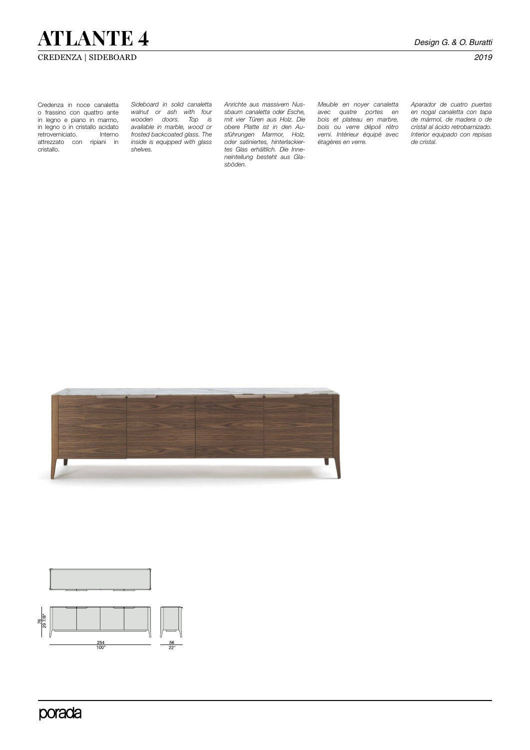## **ATLANTE 4** *Design G. & O. Buratti*

### CREDENZA | SIDEBOARD *2019*

Credenza in noce canaletta o frassino con quattro ante in legno e piano in marmo, in legno o in cristallo acidato retroverniciato. attrezzato con ripiani in cristallo.

*Sideboard in solid canaletta walnut or ash with four*  wooden doors. *available in marble, wood or frosted backcoated glass. The inside is equipped with glass shelves.*

*Anrichte aus massivem Nussbaum canaletta oder Esche, mit vier Türen aus Holz. Die obere Platte ist in den Ausführungen Marmor, Holz, oder satiniertes, hinterlackiertes Glas erhältlich. Die Inneneinteilung besteht aus Glasböden.* 

*Meuble en noyer canaletta avec quatre portes en bois et plateau en marbre, bois ou verre dépoli rétro verni. Intérieur équipé avec étagères en verre.* 

*Aparador de cuatro puertas en nogal canaletta con tapa de mármol, de madera o de cristal al ácido retrobarnizado. Interior equipado con repisas de cristal.*





porada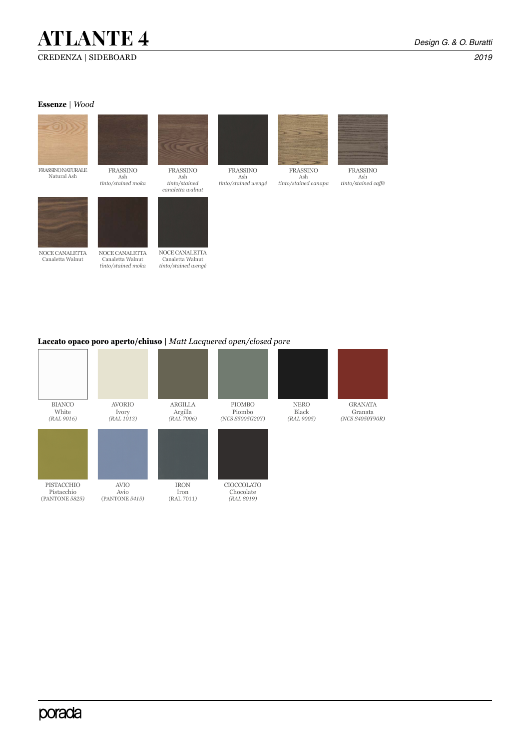# **ATLANTE 4** *Design G. & O. Buratti*

#### **Essenze** | *Wood*



### **Laccato opaco poro aperto/chiuso** | *Matt Lacquered open/closed pore*